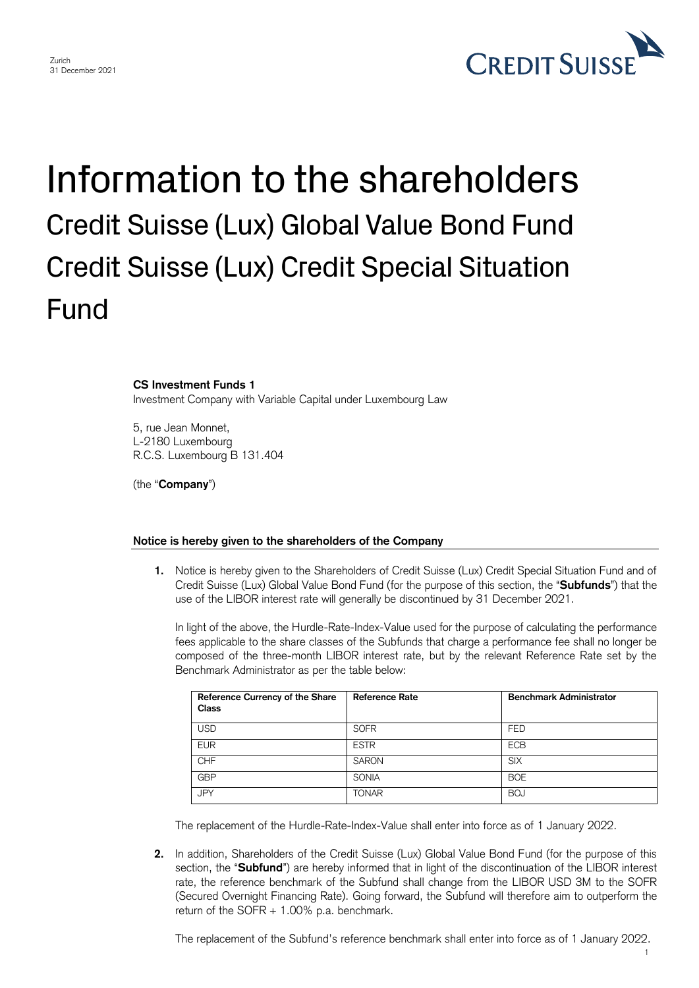

## Information to the shareholders Credit Suisse (Lux) Global Value Bond Fund Credit Suisse (Lux) Credit Special Situation Fund

## **CS Investment Funds 1**

Investment Company with Variable Capital under Luxembourg Law

5, rue Jean Monnet, L-2180 Luxembourg R.C.S. Luxembourg B 131.404

(the "**Company**")

## **Notice is hereby given to the shareholders of the Company**

**1.** Notice is hereby given to the Shareholders of Credit Suisse (Lux) Credit Special Situation Fund and of Credit Suisse (Lux) Global Value Bond Fund (for the purpose of this section, the "**Subfunds**") that the use of the LIBOR interest rate will generally be discontinued by 31 December 2021.

In light of the above, the Hurdle-Rate-Index-Value used for the purpose of calculating the performance fees applicable to the share classes of the Subfunds that charge a performance fee shall no longer be composed of the three-month LIBOR interest rate, but by the relevant Reference Rate set by the Benchmark Administrator as per the table below:

| Reference Currency of the Share<br>Class | <b>Reference Rate</b> | <b>Benchmark Administrator</b> |
|------------------------------------------|-----------------------|--------------------------------|
| <b>USD</b>                               | <b>SOFR</b>           | <b>FED</b>                     |
| <b>EUR</b>                               | <b>ESTR</b>           | <b>ECB</b>                     |
| <b>CHF</b>                               | <b>SARON</b>          | <b>SIX</b>                     |
| <b>GBP</b>                               | <b>SONIA</b>          | <b>BOE</b>                     |
| <b>JPY</b>                               | <b>TONAR</b>          | <b>BOJ</b>                     |

The replacement of the Hurdle-Rate-Index-Value shall enter into force as of 1 January 2022.

**2.** In addition, Shareholders of the Credit Suisse (Lux) Global Value Bond Fund (for the purpose of this section, the "**Subfund**") are hereby informed that in light of the discontinuation of the LIBOR interest rate, the reference benchmark of the Subfund shall change from the LIBOR USD 3M to the SOFR (Secured Overnight Financing Rate). Going forward, the Subfund will therefore aim to outperform the return of the SOFR + 1.00% p.a. benchmark.

The replacement of the Subfund's reference benchmark shall enter into force as of 1 January 2022.